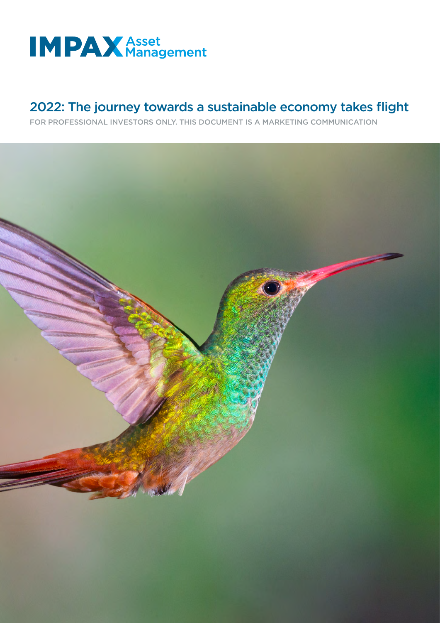

# 2022: The journey towards a sustainable economy takes flight

FOR PROFESSIONAL INVESTORS ONLY. THIS DOCUMENT IS A MARKETING COMMUNICATION

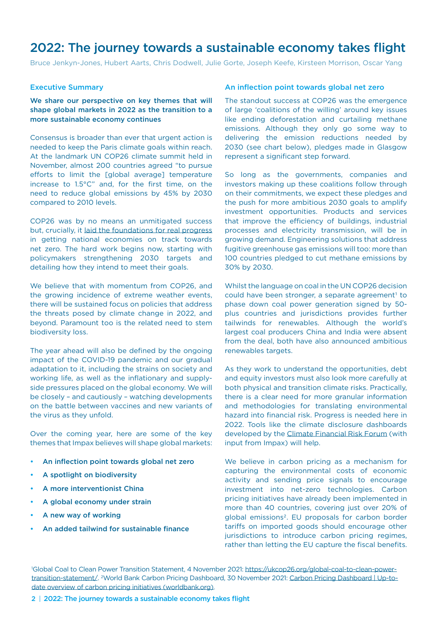## 2022: The journey towards a sustainable economy takes flight

Bruce Jenkyn-Jones, Hubert Aarts, Chris Dodwell, Julie Gorte, Joseph Keefe, Kirsteen Morrison, Oscar Yang

## Executive Summary

We share our perspective on key themes that will shape global markets in 2022 as the transition to a more sustainable economy continues

Consensus is broader than ever that urgent action is needed to keep the Paris climate goals within reach. At the landmark UN COP26 climate summit held in November, almost 200 countries agreed "to pursue efforts to limit the [global average] temperature increase to 1.5°C" and, for the first time, on the need to reduce global emissions by 45% by 2030 compared to 2010 levels.

COP26 was by no means an unmitigated success but, crucially, it [laid the foundations for real progress](https://impaxam.com/insights-and-news/blog/foundations-for-global-net-zero-an-investors-reflections-on-cop26/) in getting national economies on track towards net zero. The hard work begins now, starting with policymakers strengthening 2030 targets and detailing how they intend to meet their goals.

We believe that with momentum from COP26, and the growing incidence of extreme weather events, there will be sustained focus on policies that address the threats posed by climate change in 2022, and beyond. Paramount too is the related need to stem biodiversity loss.

The year ahead will also be defined by the ongoing impact of the COVID-19 pandemic and our gradual adaptation to it, including the strains on society and working life, as well as the inflationary and supplyside pressures placed on the global economy. We will be closely – and cautiously – watching developments on the battle between vaccines and new variants of the virus as they unfold.

Over the coming year, here are some of the key themes that Impax believes will shape global markets:

- An inflection point towards global net zero
- A spotlight on biodiversity
- A more interventionist China
- A global economy under strain
- A new way of working
- An added tailwind for sustainable finance

## An inflection point towards global net zero

The standout success at COP26 was the emergence of large 'coalitions of the willing' around key issues like ending deforestation and curtailing methane emissions. Although they only go some way to delivering the emission reductions needed by 2030 (see chart below), pledges made in Glasgow represent a significant step forward.

So long as the governments, companies and investors making up these coalitions follow through on their commitments, we expect these pledges and the push for more ambitious 2030 goals to amplify investment opportunities. Products and services that improve the efficiency of buildings, industrial processes and electricity transmission, will be in growing demand. Engineering solutions that address fugitive greenhouse gas emissions will too: more than 100 countries pledged to cut methane emissions by 30% by 2030.

Whilst the language on coal in the UN COP26 decision could have been stronger, a separate agreement<sup>1</sup> to phase down coal power generation signed by 50 plus countries and jurisdictions provides further tailwinds for renewables. Although the world's largest coal producers China and India were absent from the deal, both have also announced ambitious renewables targets.

As they work to understand the opportunities, debt and equity investors must also look more carefully at both physical and transition climate risks. Practically, there is a clear need for more granular information and methodologies for translating environmental hazard into financial risk. Progress is needed here in 2022. Tools like the climate disclosure dashboards developed by the [Climate Financial Risk Forum](https://www.fca.org.uk/publication/corporate/climate-financial-risk-forum-guide-2021-data-metrics.pdf) (with input from Impax) will help.

We believe in carbon pricing as a mechanism for capturing the environmental costs of economic activity and sending price signals to encourage investment into net-zero technologies. Carbon pricing initiatives have already been implemented in more than 40 countries, covering just over 20% of global emissions2. EU proposals for carbon border tariffs on imported goods should encourage other jurisdictions to introduce carbon pricing regimes, rather than letting the EU capture the fiscal benefits.

2 | 2022: The journey towards a sustainable economy takes flight

<sup>1</sup> Global Coal to Clean Power Transition Statement, 4 November 2021: [https://ukcop26.org/global-coal-to-clean-power](https://ukcop26.org/global-coal-to-clean-power-transition-statement/)[transition-statement/](https://ukcop26.org/global-coal-to-clean-power-transition-statement/). 2 World Bank Carbon Pricing Dashboard, 30 November 2021: [Carbon Pricing Dashboard | Up-to](https://carbonpricingdashboard.worldbank.org/map_data)[date overview of carbon pricing initiatives \(worldbank.org\).](https://carbonpricingdashboard.worldbank.org/map_data)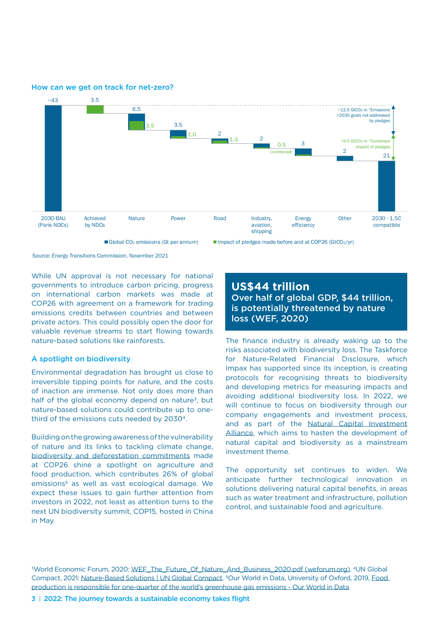

How can we get on track for net-zero?

Source: Energy Transitions Commission, November 2021

While UN approval is not necessary for national governments to introduce carbon pricing, progress on international carbon markets was made at COP26 with agreement on a framework for trading emissions credits between countries and between private actors. This could possibly open the door for valuable revenue streams to start flowing towards nature-based solutions like rainforests.

### A spotlight on biodiversity

Environmental degradation has brought us close to irreversible tipping points for nature, and the costs of inaction are immense. Not only does more than half of the global economy depend on nature<sup>3</sup>, but nature-based solutions could contribute up to onethird of the emissions cuts needed by 20304.

Building on the growing awareness of the vulnerability of nature and its links to tackling climate change, [biodiversity and deforestation commitments](https://impaxam.com/insights-and-news/blog/backing-natural-solutions-to-the-climate-challenge/) made at COP26 shine a spotlight on agriculture and food production, which contributes 26% of global emissions<sup>5</sup> as well as vast ecological damage. We expect these issues to gain further attention from investors in 2022, not least as attention turns to the next UN biodiversity summit, COP15, hosted in China in May.

**US\$44 trillion** Over half of global GDP, \$44 trillion, is potentially threatened by nature loss (WEF, 2020)

The finance industry is already waking up to the risks associated with biodiversity loss. The Taskforce for Nature-Related Financial Disclosure, which Impax has supported since its inception, is creating protocols for recognising threats to biodiversity and developing metrics for measuring impacts and avoiding additional biodiversity loss. In 2022, we will continue to focus on biodiversity through our company engagements and investment process, and as part of the [Natural Capital Investment](https://www.sustainable-markets.org/ncia/) [Alliance,](https://www.sustainable-markets.org/ncia/) which aims to hasten the development of natural capital and biodiversity as a mainstream investment theme.

The opportunity set continues to widen. We anticipate further technological innovation in solutions delivering natural capital benefits, in areas such as water treatment and infrastructure, pollution control, and sustainable food and agriculture.

<sup>3</sup>World Economic Forum, 2020: [WEF\\_The\\_Future\\_Of\\_Nature\\_And\\_Business\\_2020.pdf \(weforum.org\).](www3.weforum.org/docs/WEF_The_Future_Of_Nature_And_Business_2020.pdf) <sup>4</sup>UN Global Compact, 2021: [Nature-Based Solutions | UN Global Compact.](https://www.unglobalcompact.org/take-action/events/climate-action-summit-2019/nature-based-solutions) 5Our World in Data, University of Oxford, 2019, [Food](https://ourworldindata.org/food-ghg-emissions#:~:text=Food%20is%20responsible%20for%20approximately%2026%25%20of%20global,fisheries%20account%20for%2031%25%20of%20food%20emissions%20.)  [production is responsible for one-quarter of the world's greenhouse gas emissions - Our World in Data](https://ourworldindata.org/food-ghg-emissions#:~:text=Food%20is%20responsible%20for%20approximately%2026%25%20of%20global,fisheries%20account%20for%2031%25%20of%20food%20emissions%20.).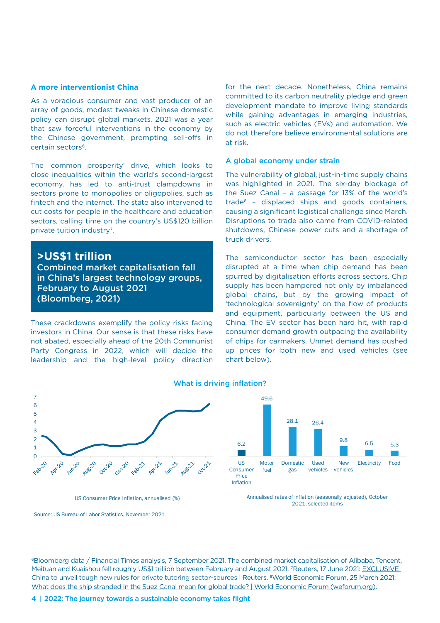## **A more interventionist China**

As a voracious consumer and vast producer of an array of goods, modest tweaks in Chinese domestic policy can disrupt global markets. 2021 was a year that saw forceful interventions in the economy by the Chinese government, prompting sell-offs in certain sectors<sup>6</sup>.

The 'common prosperity' drive, which looks to close inequalities within the world's second-largest economy, has led to anti-trust clampdowns in sectors prone to monopolies or oligopolies, such as fintech and the internet. The state also intervened to cut costs for people in the healthcare and education sectors, calling time on the country's US\$120 billion private tuition industry<sup>7</sup>.

**>US\$1 trillion** Combined market capitalisation fall in China's largest technology groups, February to August 2021 (Bloomberg, 2021)

These crackdowns exemplify the policy risks facing investors in China. Our sense is that these risks have not abated, especially ahead of the 20th Communist Party Congress in 2022, which will decide the leadership and the high-level policy direction for the next decade. Nonetheless, China remains committed to its carbon neutrality pledge and green development mandate to improve living standards while gaining advantages in emerging industries, such as electric vehicles (EVs) and automation. We do not therefore believe environmental solutions are at risk.

#### A global economy under strain

The vulnerability of global, just-in-time supply chains was highlighted in 2021. The six-day blockage of the Suez Canal – a passage for 13% of the world's trade8 – displaced ships and goods containers, causing a significant logistical challenge since March. Disruptions to trade also came from COVID-related shutdowns, Chinese power cuts and a shortage of truck drivers.

The semiconductor sector has been especially disrupted at a time when chip demand has been spurred by digitalisation efforts across sectors. Chip supply has been hampered not only by imbalanced global chains, but by the growing impact of 'technological sovereignty' on the flow of products and equipment, particularly between the US and China. The EV sector has been hard hit, with rapid consumer demand growth outpacing the availability of chips for carmakers. Unmet demand has pushed up prices for both new and used vehicles (see chart below).



## What is driving inflation?



US Consumer Price Inflation, annualised (%)

6Bloomberg data / Financial Times analysis, 7 September 2021. The combined market capitalisation of Alibaba, Tencent, Meituan and Kuaishou fell roughly US\$1 trillion between February and August 2021. 7Reuters, 17 June 2021: EXCLUSIVE [China to unveil tough new rules for private tutoring sector-sources | Reuters.](https://www.reuters.com/world/china/exclusive-china-unveil-tough-new-rules-private-tutoring-sector-sources-2021-06-16/) 8World Economic Forum, 25 March 2021: [What does the ship stranded in the Suez Canal mean for global trade? | World Economic Forum \(weforum.org\)](https://www.weforum.org/agenda/2021/03/suez-canal-ship-global-trade-shipping-economics-international-globalization).

Annualised rates of inflation (seasonally adjusted), October 2021, selected items

Source: US Bureau of Labor Statistics, November 2021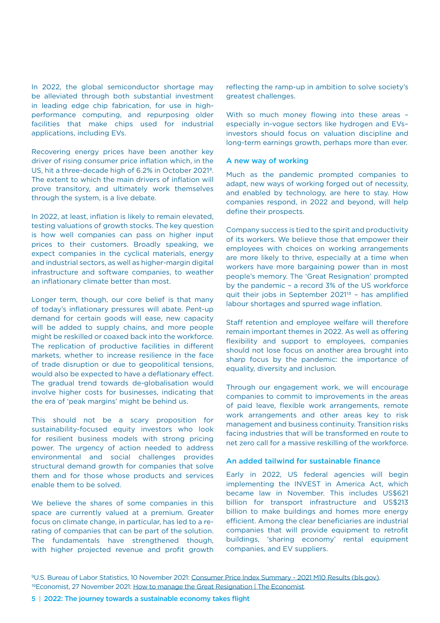In 2022, the global semiconductor shortage may be alleviated through both substantial investment in leading edge chip fabrication, for use in highperformance computing, and repurposing older facilities that make chips used for industrial applications, including EVs.

Recovering energy prices have been another key driver of rising consumer price inflation which, in the US, hit a three-decade high of 6.2% in October 20219. The extent to which the main drivers of inflation will prove transitory, and ultimately work themselves through the system, is a live debate.

In 2022, at least, inflation is likely to remain elevated, testing valuations of growth stocks. The key question is how well companies can pass on higher input prices to their customers. Broadly speaking, we expect companies in the cyclical materials, energy and industrial sectors, as well as higher-margin digital infrastructure and software companies, to weather an inflationary climate better than most.

Longer term, though, our core belief is that many of today's inflationary pressures will abate. Pent-up demand for certain goods will ease, new capacity will be added to supply chains, and more people might be reskilled or coaxed back into the workforce. The replication of productive facilities in different markets, whether to increase resilience in the face of trade disruption or due to geopolitical tensions, would also be expected to have a deflationary effect. The gradual trend towards de-globalisation would involve higher costs for businesses, indicating that the era of 'peak margins' might be behind us.

This should not be a scary proposition for sustainability-focused equity investors who look for resilient business models with strong pricing power. The urgency of action needed to address environmental and social challenges provides structural demand growth for companies that solve them and for those whose products and services enable them to be solved.

We believe the shares of some companies in this space are currently valued at a premium. Greater focus on climate change, in particular, has led to a rerating of companies that can be part of the solution. The fundamentals have strengthened though, with higher projected revenue and profit growth

reflecting the ramp-up in ambition to solve society's greatest challenges.

With so much money flowing into these areas – especially in-vogue sectors like hydrogen and EVs– investors should focus on valuation discipline and long-term earnings growth, perhaps more than ever.

### A new way of working

Much as the pandemic prompted companies to adapt, new ways of working forged out of necessity, and enabled by technology, are here to stay. How companies respond, in 2022 and beyond, will help define their prospects.

Company success is tied to the spirit and productivity of its workers. We believe those that empower their employees with choices on working arrangements are more likely to thrive, especially at a time when workers have more bargaining power than in most people's memory. The 'Great Resignation' prompted by the pandemic – a record 3% of the US workforce quit their jobs in September 202110 – has amplified labour shortages and spurred wage inflation.

Staff retention and employee welfare will therefore remain important themes in 2022. As well as offering flexibility and support to employees, companies should not lose focus on another area brought into sharp focus by the pandemic: the importance of equality, diversity and inclusion.

Through our engagement work, we will encourage companies to commit to improvements in the areas of paid leave, flexible work arrangements, remote work arrangements and other areas key to risk management and business continuity. Transition risks facing industries that will be transformed en route to net zero call for a massive reskilling of the workforce.

### An added tailwind for sustainable finance

Early in 2022, US federal agencies will begin implementing the INVEST in America Act, which became law in November. This includes US\$621 billion for transport infrastructure and US\$213 billion to make buildings and homes more energy efficient. Among the clear beneficiaries are industrial companies that will provide equipment to retrofit buildings, 'sharing economy' rental equipment companies, and EV suppliers.

<sup>9</sup>U.S. Bureau of Labor Statistics, 10 November 2021: [Consumer Price Index Summary - 2021 M10 Results \(bls.gov\)](https://www.bls.gov/news.release/cpi.nr0.htm). <sup>10</sup>Economist, 27 November 2021: [How to manage the Great Resignation | The Economist](https://www.economist.com/business/2021/11/27/how-to-manage-the-great-resignation).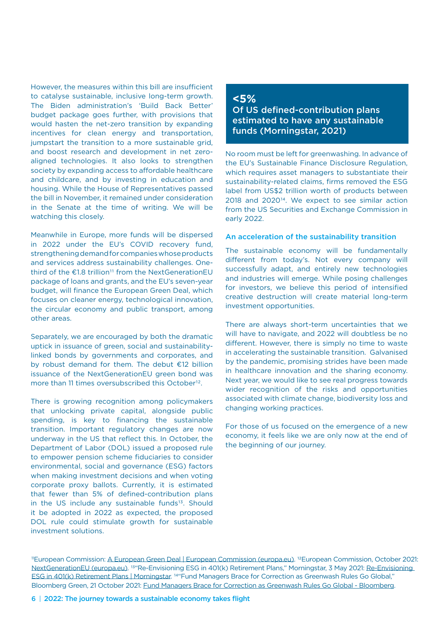However, the measures within this bill are insufficient to catalyse sustainable, inclusive long-term growth. The Biden administration's 'Build Back Better' budget package goes further, with provisions that would hasten the net-zero transition by expanding incentives for clean energy and transportation, jumpstart the transition to a more sustainable grid, and boost research and development in net zeroaligned technologies. It also looks to strengthen society by expanding access to affordable healthcare and childcare, and by investing in education and housing. While the House of Representatives passed the bill in November, it remained under consideration in the Senate at the time of writing. We will be watching this closely.

Meanwhile in Europe, more funds will be dispersed in 2022 under the EU's COVID recovery fund, strengthening demand for companies whose products and services address sustainability challenges. Onethird of the  $£1.8$  trillion<sup>11</sup> from the NextGenerationEU package of loans and grants, and the EU's seven-year budget, will finance the European Green Deal, which focuses on cleaner energy, technological innovation, the circular economy and public transport, among other areas.

Separately, we are encouraged by both the dramatic uptick in issuance of green, social and sustainabilitylinked bonds by governments and corporates, and by robust demand for them. The debut €12 billion issuance of the NextGenerationEU green bond was more than 11 times oversubscribed this October<sup>12</sup>.

There is growing recognition among policymakers that unlocking private capital, alongside public spending, is key to financing the sustainable transition. Important regulatory changes are now underway in the US that reflect this. In October, the Department of Labor (DOL) issued a proposed rule to empower pension scheme fiduciaries to consider environmental, social and governance (ESG) factors when making investment decisions and when voting corporate proxy ballots. Currently, it is estimated that fewer than 5% of defined-contribution plans in the US include any sustainable funds<sup>13</sup>. Should it be adopted in 2022 as expected, the proposed DOL rule could stimulate growth for sustainable investment solutions.

## **<5%** Of US defined-contribution plans estimated to have any sustainable funds (Morningstar, 2021)

No room must be left for greenwashing. In advance of the EU's Sustainable Finance Disclosure Regulation, which requires asset managers to substantiate their sustainability-related claims, firms removed the ESG label from US\$2 trillion worth of products between 2018 and 202014. We expect to see similar action from the US Securities and Exchange Commission in early 2022.

## An acceleration of the sustainability transition

The sustainable economy will be fundamentally different from today's. Not every company will successfully adapt, and entirely new technologies and industries will emerge. While posing challenges for investors, we believe this period of intensified creative destruction will create material long-term investment opportunities.

There are always short-term uncertainties that we will have to navigate, and 2022 will doubtless be no different. However, there is simply no time to waste in accelerating the sustainable transition. Galvanised by the pandemic, promising strides have been made in healthcare innovation and the sharing economy. Next year, we would like to see real progress towards wider recognition of the risks and opportunities associated with climate change, biodiversity loss and changing working practices.

For those of us focused on the emergence of a new economy, it feels like we are only now at the end of the beginning of our journey.

<sup>11</sup>European Commission: [A European Green Deal | European Commission \(europa.eu\).](https://ec.europa.eu/info/strategy/priorities-2019-2024/european-green-deal_en) <sup>12</sup>European Commission, October 2021: [NextGenerationEU \(europa.eu\)](https://ec.europa.eu/commission/presscorner/detail/en/ip_21_5207). 13"Re-Envisioning ESG in 401(k) Retirement Plans," Morningstar, 3 May 2021: [Re-Envisioning](https://www.morningstar.com/articles/1037056/re-envisioning-esg-in-401k-retirement-plans)  [ESG in 401\(k\) Retirement Plans | Morningstar.](https://www.morningstar.com/articles/1037056/re-envisioning-esg-in-401k-retirement-plans) 14"Fund Managers Brace for Correction as Greenwash Rules Go Global," Bloomberg Green, 21 October 2021: [Fund Managers Brace for Correction as Greenwash Rules Go Global - Bloomberg](https://www.bloomberg.com/news/articles/2021-10-13/fund-managers-brace-for-correction-as-greenwash-rules-go-global).